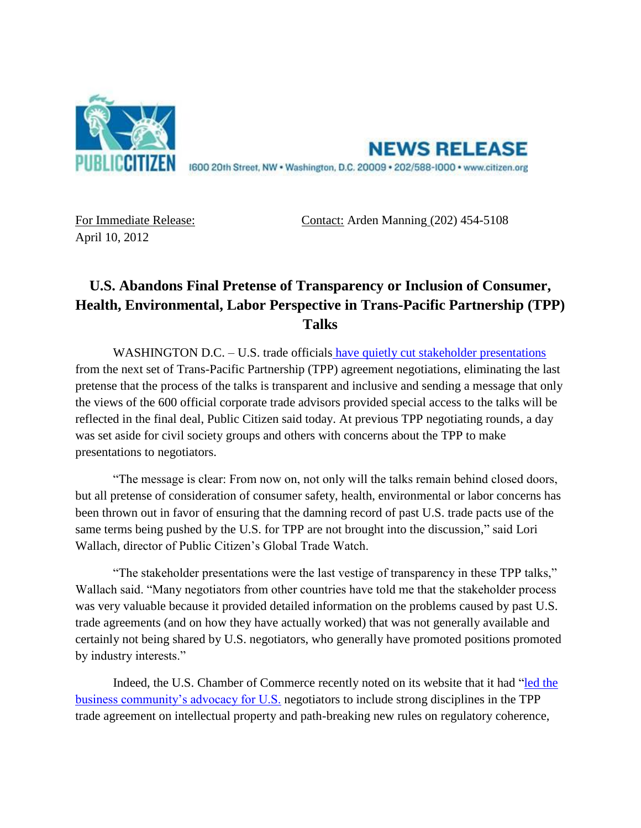

**NEWS RELEASE** 1600 20th Street, NW . Washington, D.C. 20009 . 202/588-1000 . www.citizen.org

April 10, 2012

For Immediate Release: Contact: Arden Manning (202) 454-5108

## **U.S. Abandons Final Pretense of Transparency or Inclusion of Consumer, Health, Environmental, Labor Perspective in Trans-Pacific Partnership (TPP) Talks**

WASHINGTON D.C. – U.S. trade officials [have quietly cut stakeholder presentations](http://infojustice.org/archives/9373) from the next set of Trans-Pacific Partnership (TPP) agreement negotiations, eliminating the last pretense that the process of the talks is transparent and inclusive and sending a message that only the views of the 600 official corporate trade advisors provided special access to the talks will be reflected in the final deal, Public Citizen said today. At previous TPP negotiating rounds, a day was set aside for civil society groups and others with concerns about the TPP to make presentations to negotiators.

"The message is clear: From now on, not only will the talks remain behind closed doors, but all pretense of consideration of consumer safety, health, environmental or labor concerns has been thrown out in favor of ensuring that the damning record of past U.S. trade pacts use of the same terms being pushed by the U.S. for TPP are not brought into the discussion," said Lori Wallach, director of Public Citizen's Global Trade Watch.

"The stakeholder presentations were the last vestige of transparency in these TPP talks," Wallach said. "Many negotiators from other countries have told me that the stakeholder process was very valuable because it provided detailed information on the problems caused by past U.S. trade agreements (and on how they have actually worked) that was not generally available and certainly not being shared by U.S. negotiators, who generally have promoted positions promoted by industry interests."

Indeed, the U.S. Chamber of Commerce recently noted on its website that it had ["led the](http://www.uschamber.com/issues/accomplishments)  [business community's advocacy for U.S.](http://www.uschamber.com/issues/accomplishments) negotiators to include strong disciplines in the TPP trade agreement on intellectual property and path-breaking new rules on regulatory coherence,